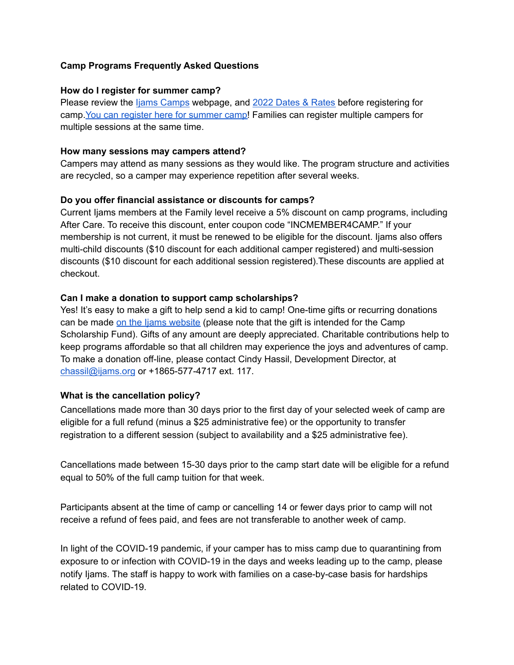## **Camp Programs Frequently Asked Questions**

#### **How do I register for summer camp?**

Please review the Ijams [Camps](https://www.ijams.org/camps) webpage, and 2022 [Dates](https://4400c9d5-d993-43b3-b711-1164d26f2b65.filesusr.com/ugd/95ca48_b519a40e1be54878b4812304e7646e08.pdf) & Rates before registering for camp. You can register here for [summer](https://campscui.active.com/orgs/IjamsNatureCenter?season=3096231) camp! Families can register multiple campers for multiple sessions at the same time.

#### **How many sessions may campers attend?**

Campers may attend as many sessions as they would like. The program structure and activities are recycled, so a camper may experience repetition after several weeks.

## **Do you offer financial assistance or discounts for camps?**

Current Ijams members at the Family level receive a 5% discount on camp programs, including After Care. To receive this discount, enter coupon code "INCMEMBER4CAMP." If your membership is not current, it must be renewed to be eligible for the discount. Ijams also offers multi-child discounts (\$10 discount for each additional camper registered) and multi-session discounts (\$10 discount for each additional session registered).These discounts are applied at checkout.

## **Can I make a donation to support camp scholarships?**

Yes! It's easy to make a gift to help send a kid to camp! One-time gifts or recurring donations can be made on the Ijams [website](https://ijams.fundraiserdonorportal.com/index.php?show=donate&) (please note that the gift is intended for the Camp Scholarship Fund). Gifts of any amount are deeply appreciated. Charitable contributions help to keep programs affordable so that all children may experience the joys and adventures of camp. To make a donation off-line, please contact Cindy Hassil, Development Director, at [chassil@ijams.org](mailto:chassil@ijams.org) or +1865-577-4717 ext. 117.

## **What is the cancellation policy?**

Cancellations made more than 30 days prior to the first day of your selected week of camp are eligible for a full refund (minus a \$25 administrative fee) or the opportunity to transfer registration to a different session (subject to availability and a \$25 administrative fee).

Cancellations made between 15-30 days prior to the camp start date will be eligible for a refund equal to 50% of the full camp tuition for that week.

Participants absent at the time of camp or cancelling 14 or fewer days prior to camp will not receive a refund of fees paid, and fees are not transferable to another week of camp.

In light of the COVID-19 pandemic, if your camper has to miss camp due to quarantining from exposure to or infection with COVID-19 in the days and weeks leading up to the camp, please notify Ijams. The staff is happy to work with families on a case-by-case basis for hardships related to COVID-19.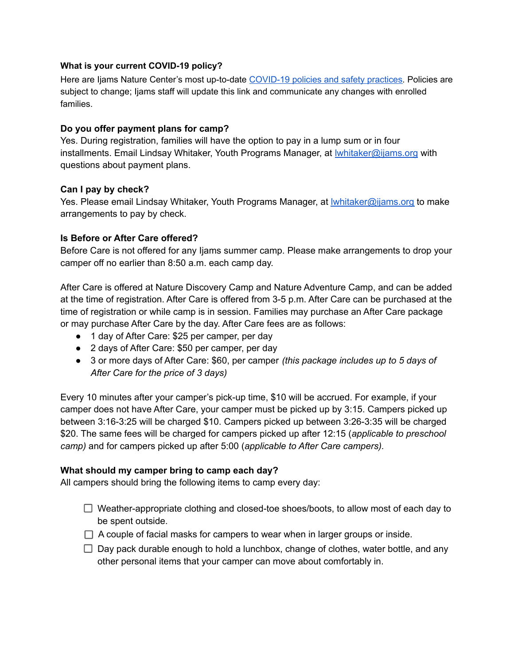#### **What is your current COVID-19 policy?**

Here are Ijams Nature Center's most up-to-date COVID-19 [policies and safety practices.](https://docs.google.com/document/d/1ZjHmDI6ya3dwUN-stFStPwNLvmW3C3gVtAzkvBIY4dk/edit?usp=sharing) Policies are subject to change; Ijams staff will update this link and communicate any changes with enrolled families.

## **Do you offer payment plans for camp?**

Yes. During registration, families will have the option to pay in a lump sum or in four installments. Email Lindsay Whitaker, Youth Programs Manager, at Iwhitaker@ijams.org with questions about payment plans.

#### **Can I pay by check?**

Yes. Please email Lindsay Whitaker, Youth Programs Manager, at *Iwhitaker@ijams.org to make* arrangements to pay by check.

#### **Is Before or After Care offered?**

Before Care is not offered for any Ijams summer camp. Please make arrangements to drop your camper off no earlier than 8:50 a.m. each camp day.

After Care is offered at Nature Discovery Camp and Nature Adventure Camp, and can be added at the time of registration. After Care is offered from 3-5 p.m. After Care can be purchased at the time of registration or while camp is in session. Families may purchase an After Care package or may purchase After Care by the day. After Care fees are as follows:

- 1 day of After Care: \$25 per camper, per day
- 2 days of After Care: \$50 per camper, per day
- 3 or more days of After Care: \$60, per camper *(this package includes up to 5 days of After Care for the price of 3 days)*

Every 10 minutes after your camper's pick-up time, \$10 will be accrued. For example, if your camper does not have After Care, your camper must be picked up by 3:15. Campers picked up between 3:16-3:25 will be charged \$10. Campers picked up between 3:26-3:35 will be charged \$20. The same fees will be charged for campers picked up after 12:15 (*applicable to preschool camp)* and for campers picked up after 5:00 (*applicable to After Care campers).*

## **What should my camper bring to camp each day?**

All campers should bring the following items to camp every day:

- $\Box$  Weather-appropriate clothing and closed-toe shoes/boots, to allow most of each day to be spent outside.
- $\Box$  A couple of facial masks for campers to wear when in larger groups or inside.
- $\Box$  Day pack durable enough to hold a lunchbox, change of clothes, water bottle, and any other personal items that your camper can move about comfortably in.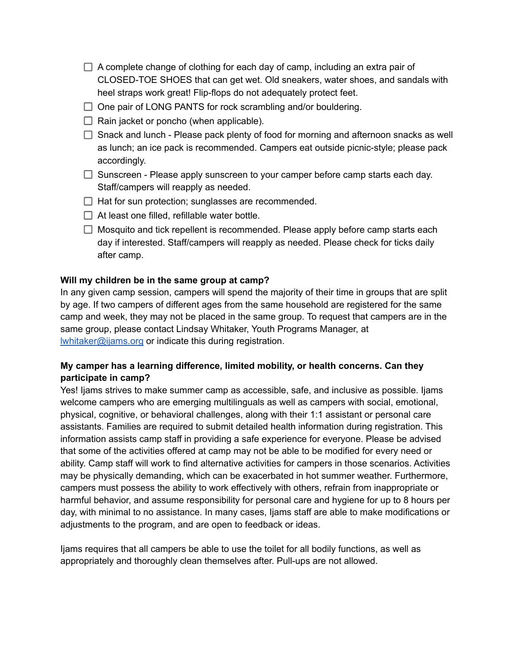- $\Box$  A complete change of clothing for each day of camp, including an extra pair of CLOSED-TOE SHOES that can get wet. Old sneakers, water shoes, and sandals with heel straps work great! Flip-flops do not adequately protect feet.
- $\Box$  One pair of LONG PANTS for rock scrambling and/or bouldering.
- $\Box$  Rain jacket or poncho (when applicable).
- $\Box$  Snack and lunch Please pack plenty of food for morning and afternoon snacks as well as lunch; an ice pack is recommended. Campers eat outside picnic-style; please pack accordingly.
- $\Box$  Sunscreen Please apply sunscreen to your camper before camp starts each day. Staff/campers will reapply as needed.
- $\Box$  Hat for sun protection; sunglasses are recommended.
- $\Box$  At least one filled, refillable water bottle.
- $\Box$  Mosquito and tick repellent is recommended. Please apply before camp starts each day if interested. Staff/campers will reapply as needed. Please check for ticks daily after camp.

#### **Will my children be in the same group at camp?**

In any given camp session, campers will spend the majority of their time in groups that are split by age. If two campers of different ages from the same household are registered for the same camp and week, they may not be placed in the same group. To request that campers are in the same group, please contact Lindsay Whitaker, Youth Programs Manager, at [lwhitaker@ijams.org](mailto:lwhitaker@ijams.org) or indicate this during registration.

## **My camper has a learning difference, limited mobility, or health concerns. Can they participate in camp?**

Yes! Ijams strives to make summer camp as accessible, safe, and inclusive as possible. Ijams welcome campers who are emerging multilinguals as well as campers with social, emotional, physical, cognitive, or behavioral challenges, along with their 1:1 assistant or personal care assistants. Families are required to submit detailed health information during registration. This information assists camp staff in providing a safe experience for everyone. Please be advised that some of the activities offered at camp may not be able to be modified for every need or ability. Camp staff will work to find alternative activities for campers in those scenarios. Activities may be physically demanding, which can be exacerbated in hot summer weather. Furthermore, campers must possess the ability to work effectively with others, refrain from inappropriate or harmful behavior, and assume responsibility for personal care and hygiene for up to 8 hours per day, with minimal to no assistance. In many cases, Ijams staff are able to make modifications or adjustments to the program, and are open to feedback or ideas.

Ijams requires that all campers be able to use the toilet for all bodily functions, as well as appropriately and thoroughly clean themselves after. Pull-ups are not allowed.